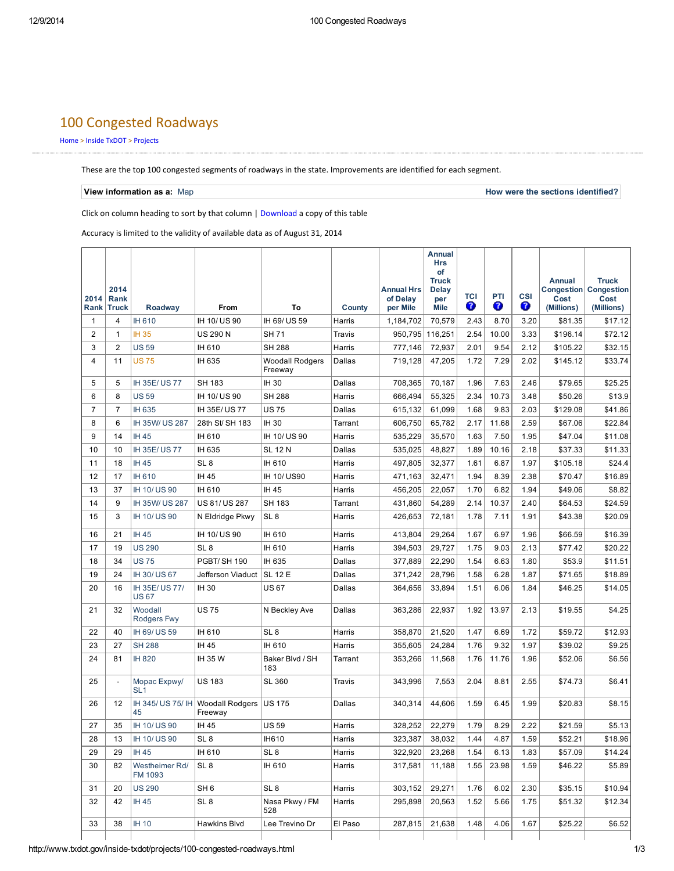# 100 Congested Roadways

### [Home](http://www.txdot.gov/) > Inside [TxDOT](http://www.txdot.gov/inside-txdot.html) > [Projects](http://www.txdot.gov/inside-txdot/projects.html)

These are the top 100 congested segments of roadways in the state. Improvements are identified for each segment.

View information as a: [Map](http://maps.dot.state.tx.us/top100/) **How were the sections [identified?](http://www.txdot.gov/inside-txdot/projects/100-congested-roadways.html?CFC__target=http%3A%2F%2Fwww.dot.state.tx.us%2Fapps-cg%2Ftop_100%2FhowTheSegmentsWereIdentified.pdf)** All the sections identified?

Click on column heading to sort by that column | [Download](http://www.txdot.gov/inside-txdot/projects/100-congested-roadways.html?CFC__target=http%3A%2F%2Fwww.dot.state.tx.us%2Fapps-cg%2Ftop_100%2Ftop_100.pdf) a copy of this table

Accuracy is limited to the validity of available data as of August 31, 2014

| 2014           | 2014<br>Rank   |                                 |                                   |                                   |         | <b>Annual Hrs</b><br>of Delay | Annual<br><b>Hrs</b><br>of<br><b>Truck</b><br>Delay<br>per | TCI  | PTI   | <b>CSI</b> | <b>Annual</b><br>Cost | <b>Truck</b><br><b>Congestion   Congestion</b><br>Cost |
|----------------|----------------|---------------------------------|-----------------------------------|-----------------------------------|---------|-------------------------------|------------------------------------------------------------|------|-------|------------|-----------------------|--------------------------------------------------------|
| Rank           | <b>Truck</b>   | Roadway                         | From                              | To                                | County  | per Mile                      | <b>Mile</b>                                                | Ø    | 0     | €          | (Millions)            | (Millions)                                             |
| $\mathbf{1}$   | $\overline{4}$ | IH 610                          | IH 10/ US 90                      | IH 69/ US 59                      | Harris  | 1,184,702                     | 70,579                                                     | 2.43 | 8.70  | 3.20       | \$81.35               | \$17.12                                                |
| $\overline{2}$ | $\mathbf{1}$   | <b>IH35</b>                     | <b>US 290 N</b>                   | <b>SH71</b>                       | Travis  | 950,795                       | 116,251                                                    | 2.54 | 10.00 | 3.33       | \$196.14              | \$72.12                                                |
| 3              | $\overline{2}$ | <b>US59</b>                     | IH 610                            | <b>SH 288</b>                     | Harris  | 777,146                       | 72,937                                                     | 2.01 | 9.54  | 2.12       | \$105.22              | \$32.15                                                |
| 4              | 11             | <b>US75</b>                     | IH 635                            | <b>Woodall Rodgers</b><br>Freeway | Dallas  | 719,128                       | 47.205                                                     | 1.72 | 7.29  | 2.02       | \$145.12              | \$33.74                                                |
| 5              | 5              | IH 35E/US77                     | SH 183                            | <b>IH30</b>                       | Dallas  | 708,365                       | 70,187                                                     | 1.96 | 7.63  | 2.46       | \$79.65               | \$25.25                                                |
| 6              | 8              | <b>US59</b>                     | IH 10/ US 90                      | <b>SH 288</b>                     | Harris  | 666,494                       | 55,325                                                     | 2.34 | 10.73 | 3.48       | \$50.26               | \$13.9                                                 |
| 7              | $\overline{7}$ | IH 635                          | IH 35E/US77                       | <b>US75</b>                       | Dallas  | 615,132                       | 61,099                                                     | 1.68 | 9.83  | 2.03       | \$129.08              | \$41.86                                                |
| 8              | 6              | IH 35W/ US 287                  | 28th St/ SH 183                   | <b>IH30</b>                       | Tarrant | 606,750                       | 65,782                                                     | 2.17 | 11.68 | 2.59       | \$67.06               | \$22.84                                                |
| 9              | 14             | IH 45                           | IH 610                            | IH 10/ US 90                      | Harris  | 535,229                       | 35,570                                                     | 1.63 | 7.50  | 1.95       | \$47.04               | \$11.08                                                |
| 10             | 10             | IH 35E/US77                     | IH 635                            | <b>SL 12 N</b>                    | Dallas  | 535,025                       | 48,827                                                     | 1.89 | 10.16 | 2.18       | \$37.33               | \$11.33                                                |
| 11             | 18             | IH 45                           | SL <sub>8</sub>                   | IH 610                            | Harris  | 497,805                       | 32,377                                                     | 1.61 | 6.87  | 1.97       | \$105.18              | \$24.4                                                 |
| 12             | 17             | IH 610                          | IH 45                             | IH 10/ US90                       | Harris  | 471,163                       | 32,471                                                     | 1.94 | 8.39  | 2.38       | \$70.47               | \$16.89                                                |
| 13             | 37             | IH 10/ US 90                    | IH 610                            | IH 45                             | Harris  | 456,205                       | 22,057                                                     | 1.70 | 6.82  | 1.94       | \$49.06               | \$8.82                                                 |
| 14             | 9              | IH 35W/ US 287                  | US 81/ US 287                     | SH 183                            | Tarrant | 431,860                       | 54,289                                                     | 2.14 | 10.37 | 2.40       | \$64.53               | \$24.59                                                |
| 15             | 3              | IH 10/ US 90                    | N Eldridge Pkwy                   | SL <sub>8</sub>                   | Harris  | 426,653                       | 72,181                                                     | 1.78 | 7.11  | 1.91       | \$43.38               | \$20.09                                                |
| 16             | 21             | IH 45                           | IH 10/ US 90                      | IH 610                            | Harris  | 413,804                       | 29,264                                                     | 1.67 | 6.97  | 1.96       | \$66.59               | \$16.39                                                |
| 17             | 19             | <b>US 290</b>                   | SL <sub>8</sub>                   | IH 610                            | Harris  | 394,503                       | 29,727                                                     | 1.75 | 9.03  | 2.13       | \$77.42               | \$20.22                                                |
| 18             | 34             | <b>US75</b>                     | PGBT/SH 190                       | IH 635                            | Dallas  | 377,889                       | 22,290                                                     | 1.54 | 6.63  | 1.80       | \$53.9                | \$11.51                                                |
| 19             | 24             | IH 30/ US 67                    | Jefferson Viaduct                 | <b>SL 12 E</b>                    | Dallas  | 371,242                       | 28,796                                                     | 1.58 | 6.28  | 1.87       | \$71.65               | \$18.89                                                |
| 20             | 16             | IH 35E/US 77/<br><b>US67</b>    | IH 30                             | <b>US67</b>                       | Dallas  | 364,656                       | 33,894                                                     | 1.51 | 6.06  | 1.84       | \$46.25               | \$14.05                                                |
| 21             | 32             | Woodall<br>Rodgers Fwy          | <b>US75</b>                       | N Beckley Ave                     | Dallas  | 363,286                       | 22,937                                                     | 1.92 | 13.97 | 2.13       | \$19.55               | \$4.25                                                 |
| 22             | 40             | IH 69/ US 59                    | IH 610                            | SL <sub>8</sub>                   | Harris  | 358,870                       | 21,520                                                     | 1.47 | 6.69  | 1.72       | \$59.72               | \$12.93                                                |
| 23             | 27             | <b>SH 288</b>                   | IH 45                             | IH 610                            | Harris  | 355,605                       | 24,284                                                     | 1.76 | 9.32  | 1.97       | \$39.02               | \$9.25                                                 |
| 24             | 81             | <b>IH 820</b>                   | IH 35 W                           | Baker Blvd / SH<br>183            | Tarrant | 353,266                       | 11,568                                                     | 1.76 | 11.76 | 1.96       | \$52.06               | \$6.56                                                 |
| 25             | $\mathbf{r}$   | Mopac Expwy/<br>SL <sub>1</sub> | <b>US183</b>                      | SL 360                            | Travis  | 343,996                       | 7,553                                                      | 2.04 | 8.81  | 2.55       | \$74.73               | \$6.41                                                 |
| 26             | 12             | IH 345/ US 75/ IH<br>45         | <b>Woodall Rodgers</b><br>Freeway | <b>US 175</b>                     | Dallas  | 340,314                       | 44,606                                                     | 1.59 | 6.45  | 1.99       | \$20.83               | \$8.15                                                 |
| 27             | 35             | IH 10/ US 90                    | IH 45                             | <b>US59</b>                       | Harris  | 328,252                       | 22,279                                                     | 1.79 | 8.29  | 2.22       | \$21.59               | \$5.13                                                 |
| 28             | 13             | IH 10/ US 90                    | SL <sub>8</sub>                   | IH610                             | Harris  | 323,387                       | 38,032                                                     | 1.44 | 4.87  | 1.59       | \$52.21               | \$18.96                                                |
| 29             | 29             | IH 45                           | IH 610                            | SL <sub>8</sub>                   | Harris  | 322,920                       | 23,268                                                     | 1.54 | 6.13  | 1.83       | \$57.09               | \$14.24                                                |
| 30             | 82             | Westheimer Rd/<br>FM 1093       | SL <sub>8</sub>                   | IH 610                            | Harris  | 317,581                       | 11,188                                                     | 1.55 | 23.98 | 1.59       | \$46.22               | \$5.89                                                 |
| 31             | 20             | <b>US 290</b>                   | SH <sub>6</sub>                   | SL <sub>8</sub>                   | Harris  | 303,152                       | 29,271                                                     | 1.76 | 6.02  | 2.30       | \$35.15               | \$10.94                                                |
| 32             | 42             | IH 45                           | SL <sub>8</sub>                   | Nasa Pkwy / FM<br>528             | Harris  | 295,898                       | 20,563                                                     | 1.52 | 5.66  | 1.75       | \$51.32               | \$12.34                                                |
| 33             | 38             | <b>IH 10</b>                    | Hawkins Blvd                      | Lee Trevino Dr                    | El Paso | 287,815                       | 21,638                                                     | 1.48 | 4.06  | 1.67       | \$25.22               | \$6.52                                                 |
|                |                |                                 |                                   |                                   |         |                               |                                                            |      |       |            |                       |                                                        |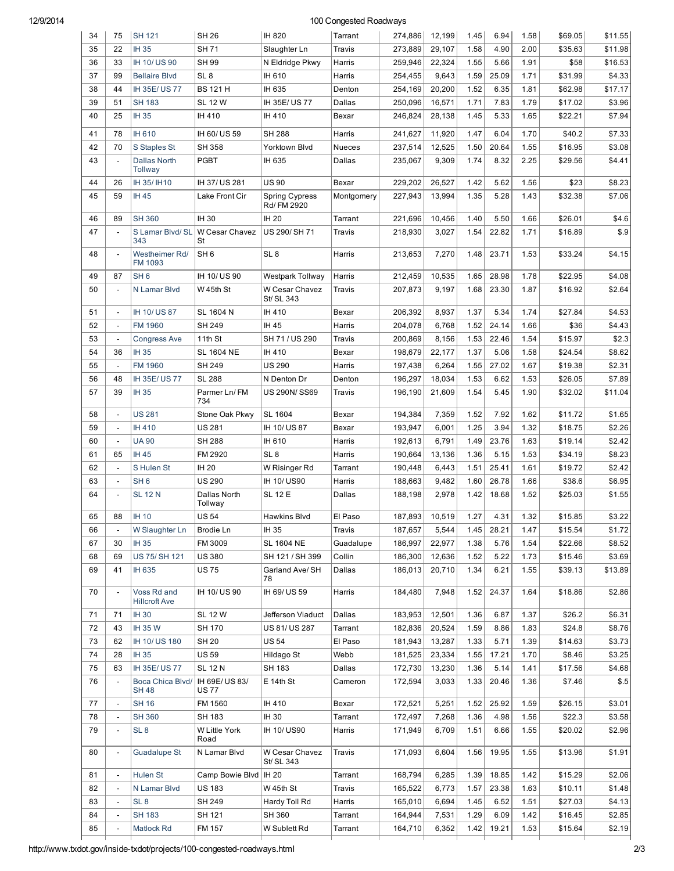## 12/9/2014 100 Congested Roadways

| 34 | 75                           | <b>SH 121</b>                       | <b>SH 26</b>                  | IH 820                        | Tarrant       | 274,886 | 12,199 | 1.45 | 6.94  | 1.58 | \$69.05 | \$11.55 |
|----|------------------------------|-------------------------------------|-------------------------------|-------------------------------|---------------|---------|--------|------|-------|------|---------|---------|
| 35 | 22                           | IH 35                               | <b>SH71</b>                   | Slaughter Ln                  | Travis        | 273,889 | 29.107 | 1.58 | 4.90  | 2.00 | \$35.63 | \$11.98 |
| 36 | 33                           | IH 10/US90                          | <b>SH 99</b>                  | N Eldridge Pkwy               | Harris        | 259,946 | 22,324 | 1.55 | 5.66  | 1.91 | \$58    | \$16.53 |
| 37 | 99                           | <b>Bellaire Blvd</b>                | SL <sub>8</sub>               | IH 610                        | Harris        | 254,455 | 9,643  | 1.59 | 25.09 | 1.71 | \$31.99 | \$4.33  |
| 38 | 44                           | IH 35E/US77                         | <b>BS 121 H</b>               | IH 635                        | Denton        | 254,169 | 20,200 | 1.52 | 6.35  | 1.81 | \$62.98 | \$17.17 |
| 39 | 51                           | <b>SH 183</b>                       | <b>SL 12 W</b>                | IH 35E/US77                   | Dallas        | 250,096 | 16,571 | 1.71 | 7.83  | 1.79 | \$17.02 | \$3.96  |
| 40 | 25                           | <b>IH35</b>                         | IH 410                        | IH 410                        | Bexar         | 246,824 | 28,138 | 1.45 | 5.33  | 1.65 | \$22.21 | \$7.94  |
|    |                              |                                     |                               |                               |               |         |        |      |       |      |         |         |
| 41 | 78                           | <b>IH 610</b>                       | IH 60/ US 59                  | SH 288                        | Harris        | 241,627 | 11,920 | 1.47 | 6.04  | 1.70 | \$40.2  | \$7.33  |
| 42 | 70                           | S Staples St                        | <b>SH 358</b>                 | Yorktown Blvd                 | <b>Nueces</b> | 237,514 | 12,525 | 1.50 | 20.64 | 1.55 | \$16.95 | \$3.08  |
| 43 | $\overline{a}$               | <b>Dallas North</b><br>Tollway      | <b>PGBT</b>                   | IH 635                        | Dallas        | 235,067 | 9,309  | 1.74 | 8.32  | 2.25 | \$29.56 | \$4.41  |
| 44 | 26                           | IH 35/ IH 10                        | IH 37/ US 281                 | US 90                         | Bexar         | 229,202 | 26,527 | 1.42 | 5.62  | 1.56 | \$23    | \$8.23  |
| 45 | 59                           | IH 45                               | Lake Front Cir                | Spring Cypress<br>Rd/ FM 2920 | Montgomery    | 227,943 | 13,994 | 1.35 | 5.28  | 1.43 | \$32.38 | \$7.06  |
| 46 | 89                           | <b>SH 360</b>                       | IH 30                         | IH 20                         | Tarrant       | 221,696 | 10,456 | 1.40 | 5.50  | 1.66 | \$26.01 | \$4.6   |
| 47 | $\overline{a}$               | S Lamar Blvd/ SL                    | W Cesar Chavez                | US 290/SH 71                  | Travis        | 218,930 | 3,027  | 1.54 | 22.82 | 1.71 | \$16.89 | \$.9    |
|    |                              | 343                                 | St                            |                               |               |         |        |      |       |      |         |         |
| 48 | $\overline{\phantom{a}}$     | Westheimer Rd/<br>FM 1093           | SH <sub>6</sub>               | SL <sub>8</sub>               | Harris        | 213,653 | 7,270  | 1.48 | 23.71 | 1.53 | \$33.24 | \$4.15  |
| 49 | 87                           | SH <sub>6</sub>                     | IH 10/ US 90                  | Westpark Tollway              | Harris        | 212,459 | 10,535 | 1.65 | 28.98 | 1.78 | \$22.95 | \$4.08  |
| 50 | $\overline{\phantom{a}}$     | N Lamar Blvd                        | W 45th St                     | W Cesar Chavez<br>St/ SL 343  | Travis        | 207,873 | 9,197  | 1.68 | 23.30 | 1.87 | \$16.92 | \$2.64  |
| 51 | $\overline{\phantom{a}}$     | IH 10/ US 87                        | SL 1604 N                     | IH 410                        | Bexar         | 206,392 | 8,937  | 1.37 | 5.34  | 1.74 | \$27.84 | \$4.53  |
| 52 |                              | FM 1960                             | SH 249                        | IH 45                         | Harris        | 204,078 | 6,768  | 1.52 | 24.14 | 1.66 | \$36    | \$4.43  |
| 53 | $\overline{\phantom{a}}$     | <b>Congress Ave</b>                 | 11th St                       | SH 71 / US 290                | Travis        | 200,869 | 8,156  | 1.53 | 22.46 | 1.54 | \$15.97 | \$2.3   |
| 54 | 36                           | <b>IH35</b>                         | <b>SL 1604 NE</b>             | IH 410                        | Bexar         | 198,679 | 22,177 | 1.37 | 5.06  | 1.58 | \$24.54 | \$8.62  |
| 55 |                              | FM 1960                             | SH 249                        | US 290                        | Harris        | 197,438 | 6,264  | 1.55 | 27.02 | 1.67 | \$19.38 | \$2.31  |
| 56 | 48                           | IH 35E/US77                         | <b>SL 288</b>                 | N Denton Dr                   | Denton        | 196,297 | 18,034 | 1.53 | 6.62  | 1.53 | \$26.05 | \$7.89  |
| 57 | 39                           | <b>IH35</b>                         | Parmer Ln/FM<br>734           | US 290N/SS69                  | Travis        | 196,190 | 21,609 | 1.54 | 5.45  | 1.90 | \$32.02 | \$11.04 |
| 58 | $\overline{\phantom{a}}$     | <b>US 281</b>                       | Stone Oak Pkwy                | SL 1604                       | Bexar         | 194,384 | 7,359  | 1.52 | 7.92  | 1.62 | \$11.72 | \$1.65  |
| 59 | $\overline{\phantom{a}}$     | <b>IH410</b>                        | <b>US281</b>                  | IH 10/ US 87                  | Bexar         | 193,947 | 6,001  | 1.25 | 3.94  | 1.32 | \$18.75 | \$2.26  |
| 60 | $\overline{\phantom{a}}$     | <b>UA 90</b>                        | <b>SH 288</b>                 | IH 610                        | Harris        | 192,613 | 6,791  | 1.49 | 23.76 | 1.63 | \$19.14 | \$2.42  |
| 61 | 65                           | IH 45                               | FM 2920                       | SL <sub>8</sub>               | Harris        | 190,664 | 13,136 | 1.36 | 5.15  | 1.53 | \$34.19 | \$8.23  |
| 62 | $\overline{\phantom{a}}$     | <b>SHulen St</b>                    | IH 20                         | W Risinger Rd                 | Tarrant       | 190,448 | 6,443  | 1.51 | 25.41 | 1.61 | \$19.72 | \$2.42  |
| 63 | $\overline{\phantom{a}}$     | SH 6                                | <b>US 290</b>                 | IH 10/US90                    | Harris        | 188,663 | 9,482  | 1.60 | 26.78 | 1.66 | \$38.6  | \$6.95  |
| 64 | $\overline{a}$               | <b>SL 12 N</b>                      | Dallas North<br>Tollway       | <b>SL 12 E</b>                | Dallas        | 188,198 | 2,978  | 1.42 | 18.68 | 1.52 | \$25.03 | \$1.55  |
| 65 | 88                           | <b>IH 10</b>                        | <b>US54</b>                   | Hawkins Blvd                  | El Paso       | 187,893 | 10.519 | 1.27 | 4.31  | 1.32 | \$15.85 | \$3.22  |
| 66 | $\overline{\phantom{a}}$     | W Slaughter Ln                      | Brodie Ln                     | IH 35                         | Travis        | 187,657 | 5,544  | 1.45 | 28.21 | 1.47 | \$15.54 | \$1.72  |
| 67 | 30                           | IH 35                               | FM 3009                       | SL 1604 NE                    | Guadalupe     | 186,997 | 22,977 | 1.38 | 5.76  | 1.54 | \$22.66 | \$8.52  |
| 68 | 69                           | US 75/ SH 121                       | <b>US380</b>                  | SH 121 / SH 399               | Collin        | 186,300 | 12,636 | 1.52 | 5.22  | 1.73 | \$15.46 | \$3.69  |
| 69 | 41                           | IH 635                              | <b>US75</b>                   | Garland Ave/ SH<br>78         | Dallas        | 186,013 | 20,710 | 1.34 | 6.21  | 1.55 | \$39.13 | \$13.89 |
| 70 | $\overline{\phantom{a}}$     | Voss Rd and<br><b>Hillcroft Ave</b> | IH 10/ US 90                  | IH 69/US 59                   | Harris        | 184,480 | 7,948  | 1.52 | 24.37 | 1.64 | \$18.86 | \$2.86  |
| 71 | 71                           | <b>IH30</b>                         | <b>SL 12 W</b>                | Jefferson Viaduct             | Dallas        | 183,953 | 12,501 | 1.36 | 6.87  | 1.37 | \$26.2  | \$6.31  |
| 72 | 43                           | IH 35 W                             | SH 170                        | US 81/US 287                  | Tarrant       | 182,836 | 20,524 | 1.59 | 8.86  | 1.83 | \$24.8  | \$8.76  |
| 73 | 62                           | IH 10/ US 180                       | <b>SH 20</b>                  | US 54                         | El Paso       | 181,943 | 13,287 | 1.33 | 5.71  | 1.39 | \$14.63 | \$3.73  |
| 74 | 28                           | IH 35                               | <b>US59</b>                   | Hildago St                    | Webb          | 181,525 | 23,334 | 1.55 | 17.21 | 1.70 | \$8.46  | \$3.25  |
| 75 | 63                           | IH 35E/US77                         | <b>SL 12 N</b>                | SH 183                        | Dallas        | 172,730 | 13,230 | 1.36 | 5.14  | 1.41 | \$17.56 | \$4.68  |
| 76 | $\overline{a}$               | Boca Chica Blvd/<br>SH 48           | IH 69E/ US 83/<br><b>US77</b> | E 14th St                     | Cameron       | 172,594 | 3,033  | 1.33 | 20.46 | 1.36 | \$7.46  | \$.5    |
| 77 | $\overline{\phantom{a}}$     | SH 16                               | FM 1560                       | IH 410                        | Bexar         | 172,521 | 5,251  | 1.52 | 25.92 | 1.59 | \$26.15 | \$3.01  |
| 78 | $\overline{\phantom{a}}$     | SH 360                              | SH 183                        | IH 30                         | Tarrant       | 172,497 | 7,268  | 1.36 | 4.98  | 1.56 | \$22.3  | \$3.58  |
| 79 | $\blacksquare$               | SL 8                                | W Little York<br>Road         | IH 10/ US90                   | Harris        | 171,949 | 6,709  | 1.51 | 6.66  | 1.55 | \$20.02 | \$2.96  |
| 80 | $\overline{\phantom{a}}$     | <b>Guadalupe St</b>                 | N Lamar Blvd                  | W Cesar Chavez<br>St/ SL 343  | Travis        | 171,093 | 6,604  | 1.56 | 19.95 | 1.55 | \$13.96 | \$1.91  |
| 81 | $\overline{\phantom{a}}$     | Hulen St                            | Camp Bowie Blvd               | IH 20                         | Tarrant       | 168,794 | 6,285  | 1.39 | 18.85 | 1.42 | \$15.29 | \$2.06  |
| 82 | $\overline{\phantom{a}}$     | N Lamar Blvd                        | <b>US183</b>                  | W 45th St                     | Travis        | 165,522 | 6,773  | 1.57 | 23.38 | 1.63 | \$10.11 | \$1.48  |
| 83 | $\qquad \qquad \blacksquare$ | SL 8                                | SH 249                        | Hardy Toll Rd                 | Harris        | 165,010 | 6,694  | 1.45 | 6.52  | 1.51 | \$27.03 | \$4.13  |
| 84 | $\overline{\phantom{a}}$     | <b>SH 183</b>                       | SH 121                        | SH 360                        | Tarrant       | 164,944 | 7,531  | 1.29 | 6.09  | 1.42 | \$16.45 | \$2.85  |
| 85 | $\overline{\phantom{a}}$     | Matlock Rd                          | FM 157                        | W Sublett Rd                  | Tarrant       | 164,710 | 6,352  | 1.42 | 19.21 | 1.53 | \$15.64 | \$2.19  |
|    |                              |                                     |                               |                               |               |         |        |      |       |      |         |         |